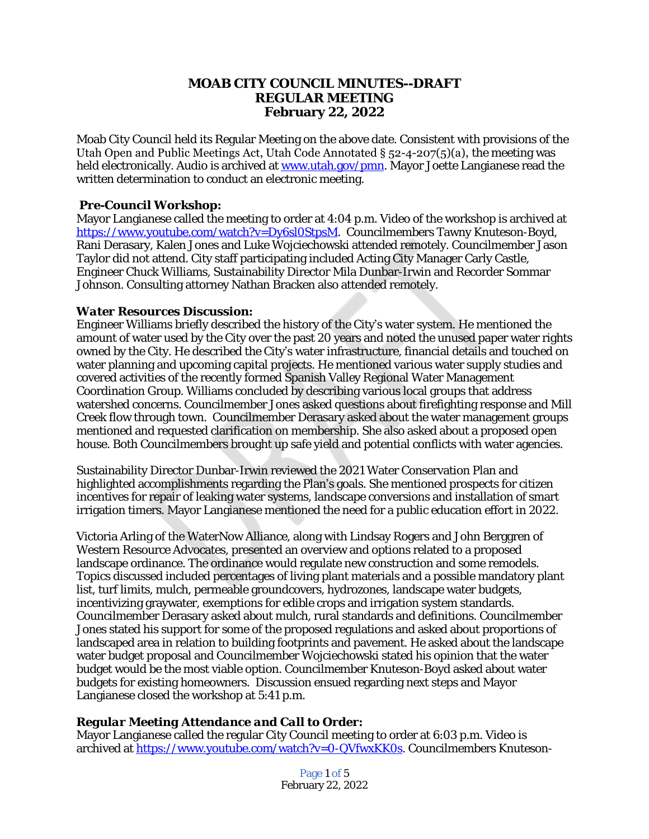# **MOAB CITY COUNCIL MINUTES--DRAFT REGULAR MEETING February 22, 2022**

Moab City Council held its Regular Meeting on the above date. Consistent with provisions of the Utah Open and Public Meetings Act, Utah Code Annotated  $\S$  52-4-207(5)(a), the meeting was held electronically. Audio is archived at [www.utah.gov/pmn](file:///C:\\Users\\etallman\\Desktop\\Minutes\\www.utah.gov\\pmn). Mayor Joette Langianese read the written determination to conduct an electronic meeting.

### *Pre-Council Workshop:*

Mayor Langianese called the meeting to order at 4:04 p.m. Video of the workshop is archived at <https://www.youtube.com/watch?v=Dy6sl0StpsM>. Councilmembers Tawny Knuteson-Boyd, Rani Derasary, Kalen Jones and Luke Wojciechowski attended remotely. Councilmember Jason Taylor did not attend. City staff participating included Acting City Manager Carly Castle, Engineer Chuck Williams, Sustainability Director Mila Dunbar-Irwin and Recorder Sommar Johnson. Consulting attorney Nathan Bracken also attended remotely.

### *Water Resources Discussion:*

Engineer Williams briefly described the history of the City's water system. He mentioned the amount of water used by the City over the past 20 years and noted the unused paper water rights owned by the City. He described the City's water infrastructure, financial details and touched on water planning and upcoming capital projects. He mentioned various water supply studies and covered activities of the recently formed Spanish Valley Regional Water Management Coordination Group. Williams concluded by describing various local groups that address watershed concerns. Councilmember Jones asked questions about firefighting response and Mill Creek flow through town. Councilmember Derasary asked about the water management groups mentioned and requested clarification on membership. She also asked about a proposed open house. Both Councilmembers brought up safe yield and potential conflicts with water agencies.

Sustainability Director Dunbar-Irwin reviewed the 2021 Water Conservation Plan and highlighted accomplishments regarding the Plan's goals. She mentioned prospects for citizen incentives for repair of leaking water systems, landscape conversions and installation of smart irrigation timers. Mayor Langianese mentioned the need for a public education effort in 2022.

Victoria Arling of the WaterNow Alliance, along with Lindsay Rogers and John Berggren of Western Resource Advocates, presented an overview and options related to a proposed landscape ordinance. The ordinance would regulate new construction and some remodels. Topics discussed included percentages of living plant materials and a possible mandatory plant list, turf limits, mulch, permeable groundcovers, hydrozones, landscape water budgets, incentivizing graywater, exemptions for edible crops and irrigation system standards. Councilmember Derasary asked about mulch, rural standards and definitions. Councilmember Jones stated his support for some of the proposed regulations and asked about proportions of landscaped area in relation to building footprints and pavement. He asked about the landscape water budget proposal and Councilmember Wojciechowski stated his opinion that the water budget would be the most viable option. Councilmember Knuteson-Boyd asked about water budgets for existing homeowners. Discussion ensued regarding next steps and Mayor Langianese closed the workshop at 5:41 p.m.

# *Regular Meeting Attendance and Call to Order:*

Mayor Langianese called the regular City Council meeting to order at 6:03 p.m. Video is archived at [https://www.youtube.com/watch?v=0-QVfwxKK0s.](https://www.youtube.com/watch?v=0-QVfwxKK0s) Councilmembers Knuteson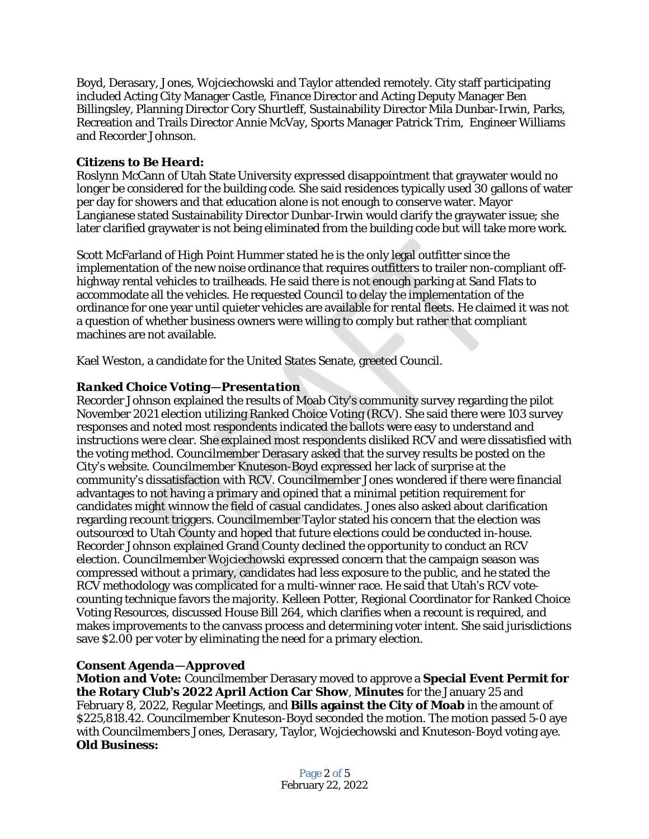Boyd, Derasary, Jones, Wojciechowski and Taylor attended remotely. City staff participating included Acting City Manager Castle, Finance Director and Acting Deputy Manager Ben Billingsley, Planning Director Cory Shurtleff, Sustainability Director Mila Dunbar-Irwin, Parks, Recreation and Trails Director Annie McVay, Sports Manager Patrick Trim, Engineer Williams and Recorder Johnson.

## *Citizens to Be Heard:*

Roslynn McCann of Utah State University expressed disappointment that graywater would no longer be considered for the building code. She said residences typically used 30 gallons of water per day for showers and that education alone is not enough to conserve water. Mayor Langianese stated Sustainability Director Dunbar-Irwin would clarify the graywater issue; she later clarified graywater is not being eliminated from the building code but will take more work.

Scott McFarland of High Point Hummer stated he is the only legal outfitter since the implementation of the new noise ordinance that requires outfitters to trailer non-compliant offhighway rental vehicles to trailheads. He said there is not enough parking at Sand Flats to accommodate all the vehicles. He requested Council to delay the implementation of the ordinance for one year until quieter vehicles are available for rental fleets. He claimed it was not a question of whether business owners were willing to comply but rather that compliant machines are not available.

Kael Weston, a candidate for the United States Senate, greeted Council.

# *Ranked Choice Voting—Presentation*

Recorder Johnson explained the results of Moab City's community survey regarding the pilot November 2021 election utilizing Ranked Choice Voting (RCV). She said there were 103 survey responses and noted most respondents indicated the ballots were easy to understand and instructions were clear. She explained most respondents disliked RCV and were dissatisfied with the voting method. Councilmember Derasary asked that the survey results be posted on the City's website. Councilmember Knuteson-Boyd expressed her lack of surprise at the community's dissatisfaction with RCV. Councilmember Jones wondered if there were financial advantages to not having a primary and opined that a minimal petition requirement for candidates might winnow the field of casual candidates. Jones also asked about clarification regarding recount triggers. Councilmember Taylor stated his concern that the election was outsourced to Utah County and hoped that future elections could be conducted in-house. Recorder Johnson explained Grand County declined the opportunity to conduct an RCV election. Councilmember Wojciechowski expressed concern that the campaign season was compressed without a primary, candidates had less exposure to the public, and he stated the RCV methodology was complicated for a multi-winner race. He said that Utah's RCV votecounting technique favors the majority. Kelleen Potter, Regional Coordinator for Ranked Choice Voting Resources, discussed House Bill 264, which clarifies when a recount is required, and makes improvements to the canvass process and determining voter intent. She said jurisdictions save \$2.00 per voter by eliminating the need for a primary election.

# *Consent Agenda—Approved*

*Motion and Vote:* Councilmember Derasary moved to approve a **Special Event Permit for the Rotary Club's 2022 April Action Car Show**, **Minutes** for the January 25 and February 8, 2022, Regular Meetings, and **Bills against the City of Moab** in the amount of \$225,818.42. Councilmember Knuteson-Boyd seconded the motion. The motion passed 5-0 aye with Councilmembers Jones, Derasary, Taylor, Wojciechowski and Knuteson-Boyd voting aye. *Old Business:*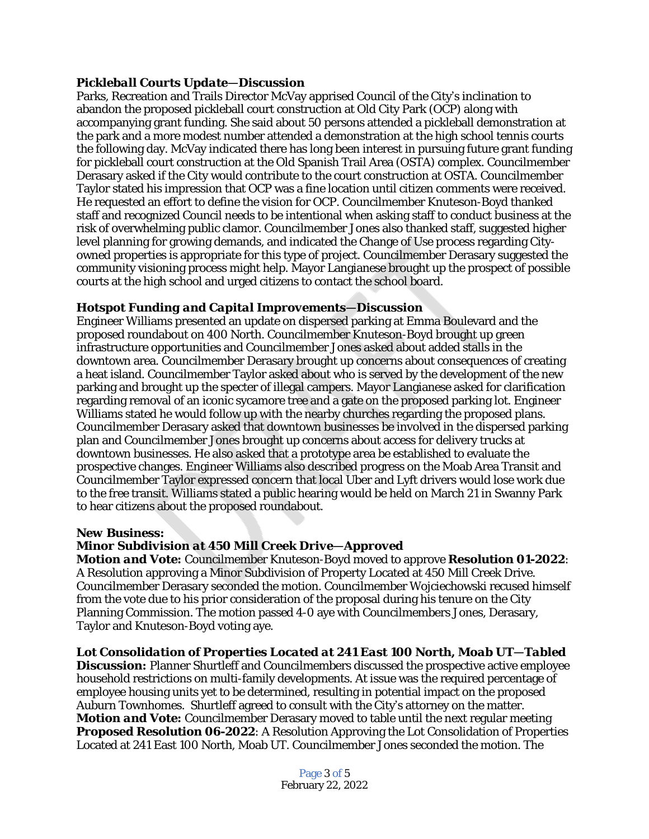## *Pickleball Courts Update—Discussion*

Parks, Recreation and Trails Director McVay apprised Council of the City's inclination to abandon the proposed pickleball court construction at Old City Park (OCP) along with accompanying grant funding. She said about 50 persons attended a pickleball demonstration at the park and a more modest number attended a demonstration at the high school tennis courts the following day. McVay indicated there has long been interest in pursuing future grant funding for pickleball court construction at the Old Spanish Trail Area (OSTA) complex. Councilmember Derasary asked if the City would contribute to the court construction at OSTA. Councilmember Taylor stated his impression that OCP was a fine location until citizen comments were received. He requested an effort to define the vision for OCP. Councilmember Knuteson-Boyd thanked staff and recognized Council needs to be intentional when asking staff to conduct business at the risk of overwhelming public clamor. Councilmember Jones also thanked staff, suggested higher level planning for growing demands, and indicated the Change of Use process regarding Cityowned properties is appropriate for this type of project. Councilmember Derasary suggested the community visioning process might help. Mayor Langianese brought up the prospect of possible courts at the high school and urged citizens to contact the school board.

### *Hotspot Funding and Capital Improvements—Discussion*

Engineer Williams presented an update on dispersed parking at Emma Boulevard and the proposed roundabout on 400 North. Councilmember Knuteson-Boyd brought up green infrastructure opportunities and Councilmember Jones asked about added stalls in the downtown area. Councilmember Derasary brought up concerns about consequences of creating a heat island. Councilmember Taylor asked about who is served by the development of the new parking and brought up the specter of illegal campers. Mayor Langianese asked for clarification regarding removal of an iconic sycamore tree and a gate on the proposed parking lot. Engineer Williams stated he would follow up with the nearby churches regarding the proposed plans. Councilmember Derasary asked that downtown businesses be involved in the dispersed parking plan and Councilmember Jones brought up concerns about access for delivery trucks at downtown businesses. He also asked that a prototype area be established to evaluate the prospective changes. Engineer Williams also described progress on the Moab Area Transit and Councilmember Taylor expressed concern that local Uber and Lyft drivers would lose work due to the free transit. Williams stated a public hearing would be held on March 21 in Swanny Park to hear citizens about the proposed roundabout.

#### *New Business:*

### *Minor Subdivision at 450 Mill Creek Drive—Approved*

*Motion and Vote:* Councilmember Knuteson-Boyd moved to approve **Resolution 01-2022**: A Resolution approving a Minor Subdivision of Property Located at 450 Mill Creek Drive. Councilmember Derasary seconded the motion. Councilmember Wojciechowski recused himself from the vote due to his prior consideration of the proposal during his tenure on the City Planning Commission. The motion passed 4-0 aye with Councilmembers Jones, Derasary, Taylor and Knuteson-Boyd voting aye.

#### *Lot Consolidation of Properties Located at 241 East 100 North, Moab UT—Tabled*

**Discussion:** Planner Shurtleff and Councilmembers discussed the prospective active employee household restrictions on multi-family developments. At issue was the required percentage of employee housing units yet to be determined, resulting in potential impact on the proposed Auburn Townhomes. Shurtleff agreed to consult with the City's attorney on the matter. *Motion and Vote:* Councilmember Derasary moved to table until the next regular meeting **Proposed Resolution 06-2022**: A Resolution Approving the Lot Consolidation of Properties Located at 241 East 100 North, Moab UT. Councilmember Jones seconded the motion. The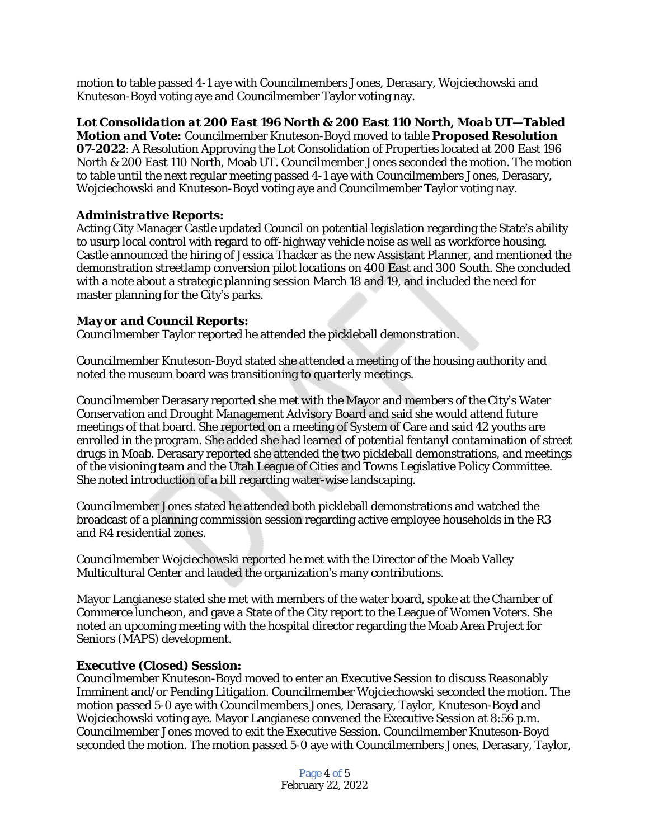motion to table passed 4-1 aye with Councilmembers Jones, Derasary, Wojciechowski and Knuteson-Boyd voting aye and Councilmember Taylor voting nay.

*Lot Consolidation at 200 East 196 North & 200 East 110 North, Moab UT—Tabled Motion and Vote:* Councilmember Knuteson-Boyd moved to table **Proposed Resolution 07-2022**: A Resolution Approving the Lot Consolidation of Properties located at 200 East 196 North & 200 East 110 North, Moab UT. Councilmember Jones seconded the motion. The motion to table until the next regular meeting passed 4-1 aye with Councilmembers Jones, Derasary, Wojciechowski and Knuteson-Boyd voting aye and Councilmember Taylor voting nay.

## *Administrative Reports:*

Acting City Manager Castle updated Council on potential legislation regarding the State's ability to usurp local control with regard to off-highway vehicle noise as well as workforce housing. Castle announced the hiring of Jessica Thacker as the new Assistant Planner, and mentioned the demonstration streetlamp conversion pilot locations on 400 East and 300 South. She concluded with a note about a strategic planning session March 18 and 19, and included the need for master planning for the City's parks.

### *Mayor and Council Reports:*

Councilmember Taylor reported he attended the pickleball demonstration.

Councilmember Knuteson-Boyd stated she attended a meeting of the housing authority and noted the museum board was transitioning to quarterly meetings.

Councilmember Derasary reported she met with the Mayor and members of the City's Water Conservation and Drought Management Advisory Board and said she would attend future meetings of that board. She reported on a meeting of System of Care and said 42 youths are enrolled in the program. She added she had learned of potential fentanyl contamination of street drugs in Moab. Derasary reported she attended the two pickleball demonstrations, and meetings of the visioning team and the Utah League of Cities and Towns Legislative Policy Committee. She noted introduction of a bill regarding water-wise landscaping.

Councilmember Jones stated he attended both pickleball demonstrations and watched the broadcast of a planning commission session regarding active employee households in the R3 and R4 residential zones.

Councilmember Wojciechowski reported he met with the Director of the Moab Valley Multicultural Center and lauded the organization's many contributions.

Mayor Langianese stated she met with members of the water board, spoke at the Chamber of Commerce luncheon, and gave a State of the City report to the League of Women Voters. She noted an upcoming meeting with the hospital director regarding the Moab Area Project for Seniors (MAPS) development.

#### *Executive (Closed) Session:*

Councilmember Knuteson-Boyd moved to enter an Executive Session to discuss Reasonably Imminent and/or Pending Litigation. Councilmember Wojciechowski seconded the motion. The motion passed 5-0 aye with Councilmembers Jones, Derasary, Taylor, Knuteson-Boyd and Wojciechowski voting aye. Mayor Langianese convened the Executive Session at 8:56 p.m. Councilmember Jones moved to exit the Executive Session. Councilmember Knuteson-Boyd seconded the motion. The motion passed 5-0 aye with Councilmembers Jones, Derasary, Taylor,

> Page 4 of 5 February 22, 2022